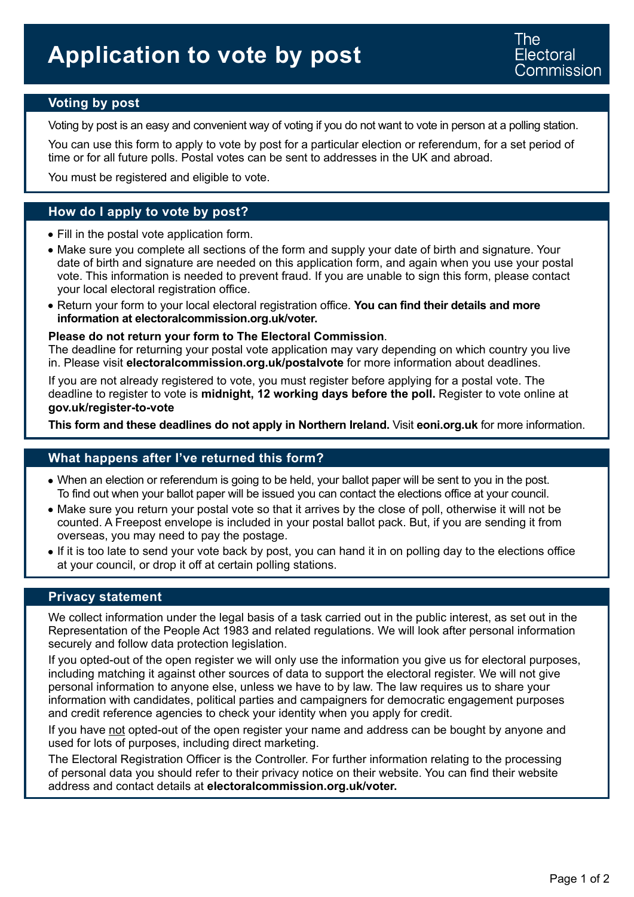## **Voting by post**

Voting by post is an easy and convenient way of voting if you do not want to vote in person at a polling station.

You can use this form to apply to vote by post for a particular election or referendum, for a set period of time or for all future polls. Postal votes can be sent to addresses in the UK and abroad.

You must be registered and eligible to vote.

### **How do I apply to vote by post?**

- Fill in the postal vote application form.
- Make sure you complete all sections of the form and supply your date of birth and signature. Your date of birth and signature are needed on this application form, and again when you use your postal vote. This information is needed to prevent fraud. If you are unable to sign this form, please contact your local electoral registration office.
- Return your form to your local electoral registration office. **You can find their details and more information at [electoralcommission.org.uk/voter.](https://www.electoralcommission.org.uk/i-am-a/voter)**

#### **Please do not return your form to The Electoral Commission**.

The deadline for returning your postal vote application may vary depending on which country you live in. Please visit **[electoralcommission.org.uk/](https://www.electoralcommission.org.uk/postalvote)postalvote** for more information about deadlines.

If you are not already registered to vote, you must register before applying for a postal vote. The deadline to register to vote is **midnight, 12 working days before the poll.** Register to vote online at **[gov.uk/register-to-vote](https://www.gov.uk/register-to-vote)** 

**This form and these deadlines do not apply in Northern Ireland.** Visit **[eoni.org.uk](http://www.eoni.org.uk)** for more information.

#### **What happens after I've returned this form?**

- When an election or referendum is going to be held, your ballot paper will be sent to you in the post. To find out when your ballot paper will be issued you can contact the elections office at your council.
- Make sure you return your postal vote so that it arrives by the close of poll, otherwise it will not be counted. A Freepost envelope is included in your postal ballot pack. But, if you are sending it from overseas, you may need to pay the postage.
- If it is too late to send your vote back by post, you can hand it in on polling day to the elections office at your council, or drop it off at certain polling stations.

#### **Privacy statement**

We collect information under the legal basis of a task carried out in the public interest, as set out in the Representation of the People Act 1983 and related regulations. We will look after personal information securely and follow data protection legislation.

If you opted-out of the open register we will only use the information you give us for electoral purposes, including matching it against other sources of data to support the electoral register. We will not give personal information to anyone else, unless we have to by law. The law requires us to share your information with candidates, political parties and campaigners for democratic engagement purposes and credit reference agencies to check your identity when you apply for credit.

If you have not opted-out of the open register your name and address can be bought by anyone and used for lots of purposes, including direct marketing.

The Electoral Registration Officer is the Controller. For further information relating to the processing of personal data you should refer to their privacy notice on their website. You can find their website address and contact details at **[electoralcommission.org.uk/voter](https://www.electoralcommission.org.uk/i-am-a/voter).**